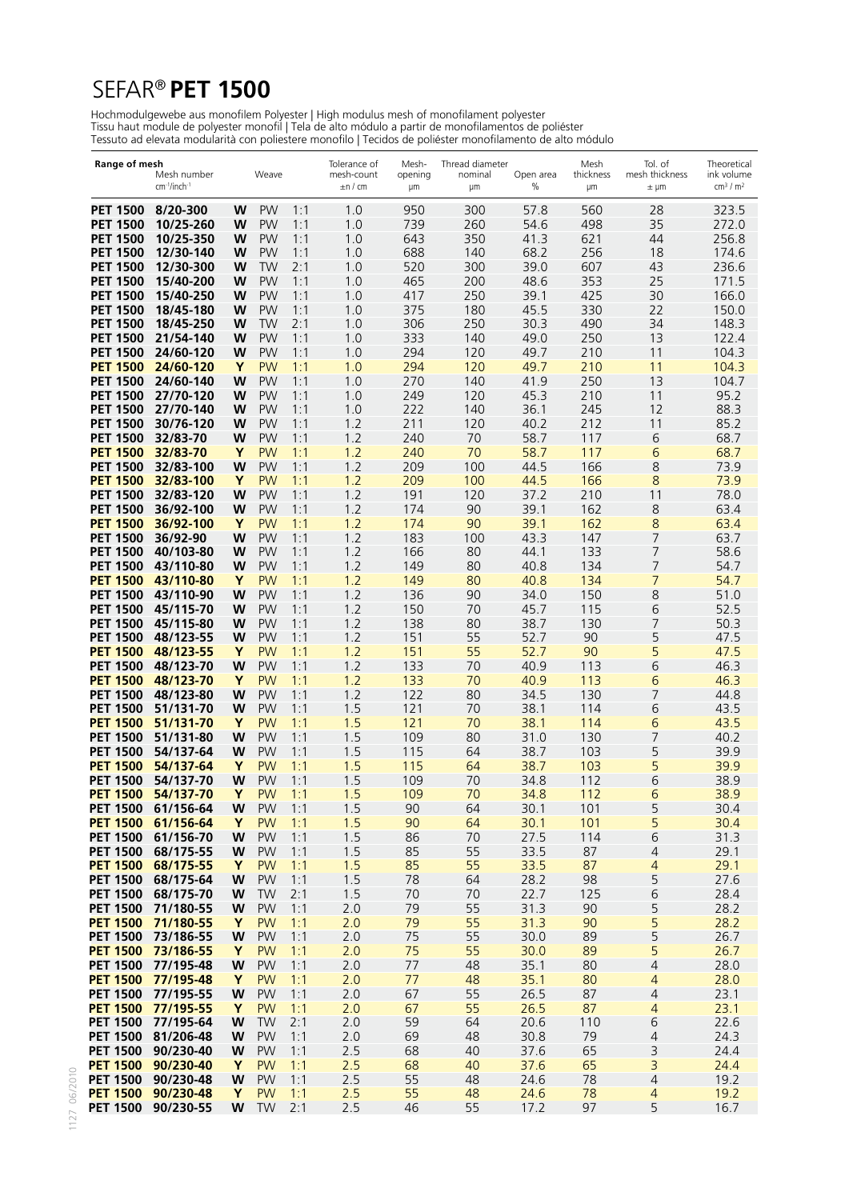# SEFAR® **PET 1500**

Hochmodulgewebe aus monofilem Polyester | High modulus mesh of monofilament polyester Tissu haut module de polyester monofil | Tela de alto módulo a partir de monofilamentos de poliéster Tessuto ad elevata modularità con poliestere monofilo | Tecidos de poliéster monofilamento de alto módulo

| Range of mesh                      | Mesh number<br>cm <sup>-1</sup> /inch <sup>-1</sup> |        | Weave                  |            | Tolerance of<br>mesh-count<br>$\pm$ n / cm | Mesh-<br>opening<br>μm | Thread diameter<br>nominal<br>μm | Open area<br>$\%$ | Mesh<br>thickness<br>μm | Tol. of<br>mesh thickness<br>$\pm \mu m$ | Theoretical<br>ink volume<br>cm <sup>3</sup> / m <sup>2</sup> |
|------------------------------------|-----------------------------------------------------|--------|------------------------|------------|--------------------------------------------|------------------------|----------------------------------|-------------------|-------------------------|------------------------------------------|---------------------------------------------------------------|
| <b>PET 1500</b>                    | 8/20-300                                            | W      | <b>PW</b>              | 1:1        | 1.0                                        | 950                    | 300                              | 57.8              | 560                     | 28                                       | 323.5                                                         |
| <b>PET 1500</b>                    | 10/25-260                                           | W      | <b>PW</b>              | 1:1        | 1.0                                        | 739                    | 260                              | 54.6              | 498                     | 35                                       | 272.0                                                         |
| <b>PET 1500</b>                    | 10/25-350                                           | W      | <b>PW</b>              | 1:1        | 1.0                                        | 643                    | 350                              | 41.3              | 621                     | 44                                       | 256.8                                                         |
| <b>PET 1500</b>                    | 12/30-140                                           | W      | <b>PW</b>              | 1:1        | 1.0                                        | 688                    | 140                              | 68.2              | 256                     | 18                                       | 174.6                                                         |
| <b>PET 1500</b><br><b>PET 1500</b> | 12/30-300<br>15/40-200                              | W<br>W | TW<br><b>PW</b>        | 2:1<br>1:1 | 1.0<br>1.0                                 | 520<br>465             | 300<br>200                       | 39.0<br>48.6      | 607<br>353              | 43<br>25                                 | 236.6<br>171.5                                                |
| <b>PET 1500</b>                    | 15/40-250                                           | W      | <b>PW</b>              | 1:1        | 1.0                                        | 417                    | 250                              | 39.1              | 425                     | 30                                       | 166.0                                                         |
| <b>PET 1500</b>                    | 18/45-180                                           | W      | <b>PW</b>              | 1:1        | 1.0                                        | 375                    | 180                              | 45.5              | 330                     | 22                                       | 150.0                                                         |
| <b>PET 1500</b>                    | 18/45-250                                           | W      | TW                     | 2:1        | 1.0                                        | 306                    | 250                              | 30.3              | 490                     | 34                                       | 148.3                                                         |
| <b>PET 1500</b>                    | 21/54-140                                           | W      | <b>PW</b>              | 1:1        | 1.0                                        | 333                    | 140                              | 49.0              | 250                     | 13                                       | 122.4                                                         |
| <b>PET 1500</b>                    | 24/60-120                                           | w      | <b>PW</b>              | 1:1        | 1.0                                        | 294                    | 120                              | 49.7              | 210                     | 11                                       | 104.3                                                         |
| <b>PET 1500</b>                    | 24/60-120                                           | Y      | <b>PW</b>              | 1:1        | 1.0                                        | 294                    | 120                              | 49.7              | 210                     | 11                                       | 104.3                                                         |
| <b>PET 1500</b>                    | 24/60-140                                           | W      | <b>PW</b>              | 1:1        | 1.0                                        | 270                    | 140                              | 41.9              | 250                     | 13                                       | 104.7                                                         |
| <b>PET 1500</b>                    | 27/70-120                                           | W      | <b>PW</b><br><b>PW</b> | 1:1        | 1.0                                        | 249<br>222             | 120                              | 45.3              | 210                     | 11<br>12                                 | 95.2                                                          |
| <b>PET 1500</b><br><b>PET 1500</b> | 27/70-140<br>30/76-120                              | W<br>W | <b>PW</b>              | 1:1<br>1:1 | 1.0<br>1.2                                 | 211                    | 140<br>120                       | 36.1<br>40.2      | 245<br>212              | 11                                       | 88.3<br>85.2                                                  |
| <b>PET 1500</b>                    | 32/83-70                                            | W      | <b>PW</b>              | 1:1        | 1.2                                        | 240                    | 70                               | 58.7              | 117                     | 6                                        | 68.7                                                          |
| <b>PET 1500</b>                    | 32/83-70                                            | Y      | <b>PW</b>              | 1:1        | 1.2                                        | 240                    | 70                               | 58.7              | 117                     | 6                                        | 68.7                                                          |
| <b>PET 1500</b>                    | 32/83-100                                           | W      | <b>PW</b>              | 1:1        | 1.2                                        | 209                    | 100                              | 44.5              | 166                     | 8                                        | 73.9                                                          |
| <b>PET 1500</b>                    | 32/83-100                                           | Y      | <b>PW</b>              | 1:1        | 1.2                                        | 209                    | 100                              | 44.5              | 166                     | 8                                        | 73.9                                                          |
| <b>PET 1500</b>                    | 32/83-120                                           | W      | <b>PW</b>              | 1:1        | 1.2                                        | 191                    | 120                              | 37.2              | 210                     | 11                                       | 78.0                                                          |
| <b>PET 1500</b>                    | 36/92-100                                           | W      | <b>PW</b>              | 1:1        | 1.2                                        | 174                    | 90                               | 39.1              | 162                     | 8                                        | 63.4                                                          |
| <b>PET 1500</b><br><b>PET 1500</b> | 36/92-100                                           | Y      | <b>PW</b><br><b>PW</b> | 1:1        | 1.2                                        | 174                    | 90                               | 39.1<br>43.3      | 162                     | 8                                        | 63.4<br>63.7                                                  |
| <b>PET 1500</b>                    | 36/92-90<br>40/103-80                               | W<br>W | <b>PW</b>              | 1:1<br>1:1 | 1.2<br>1.2                                 | 183<br>166             | 100<br>80                        | 44.1              | 147<br>133              | 7<br>7                                   | 58.6                                                          |
| <b>PET 1500</b>                    | 43/110-80                                           | W      | <b>PW</b>              | 1:1        | 1.2                                        | 149                    | 80                               | 40.8              | 134                     | 7                                        | 54.7                                                          |
| <b>PET 1500</b>                    | 43/110-80                                           | Y      | <b>PW</b>              | 1:1        | 1.2                                        | 149                    | 80                               | 40.8              | 134                     | 7                                        | 54.7                                                          |
| <b>PET 1500</b>                    | 43/110-90                                           | W      | <b>PW</b>              | 1:1        | 1.2                                        | 136                    | 90                               | 34.0              | 150                     | 8                                        | 51.0                                                          |
| <b>PET 1500</b>                    | 45/115-70                                           | W      | <b>PW</b>              | 1:1        | 1.2                                        | 150                    | 70                               | 45.7              | 115                     | 6                                        | 52.5                                                          |
| <b>PET 1500</b>                    | 45/115-80                                           | W      | <b>PW</b>              | 1:1        | 1.2                                        | 138                    | 80                               | 38.7              | 130                     | 7                                        | 50.3                                                          |
| <b>PET 1500</b>                    | 48/123-55                                           | W      | <b>PW</b>              | 1:1        | 1.2                                        | 151                    | 55                               | 52.7              | 90                      | 5                                        | 47.5                                                          |
| <b>PET 1500</b>                    | 48/123-55<br>48/123-70                              | Y      | <b>PW</b><br><b>PW</b> | 1:1<br>1:1 | 1.2<br>1.2                                 | 151<br>133             | 55<br>70                         | 52.7<br>40.9      | 90<br>113               | 5                                        | 47.5<br>46.3                                                  |
| <b>PET 1500</b><br><b>PET 1500</b> | 48/123-70                                           | W<br>Y | <b>PW</b>              | 1:1        | 1.2                                        | 133                    | 70                               | 40.9              | 113                     | 6<br>6                                   | 463                                                           |
| <b>PET 1500</b>                    | 48/123-80                                           | W      | <b>PW</b>              | 1:1        | 1.2                                        | 122                    | 80                               | 34.5              | 130                     | 7                                        | 44.8                                                          |
| <b>PET 1500</b>                    | 51/131-70                                           | W      | <b>PW</b>              | 1:1        | 1.5                                        | 121                    | 70                               | 38.1              | 114                     | 6                                        | 43.5                                                          |
| <b>PET 1500</b>                    | 51/131-70                                           | Y      | <b>PW</b>              | 1:1        | 1.5                                        | 121                    | 70                               | 38.1              | 114                     | 6                                        | 43.5                                                          |
| <b>PET 1500</b>                    | 51/131-80                                           | W      | <b>PW</b>              | 1:1        | 1.5                                        | 109                    | 80                               | 31.0              | 130                     | 7                                        | 40.2                                                          |
| <b>PET 1500</b>                    | 54/137-64                                           | W      | <b>PW</b>              | 1:1        | 1.5                                        | 115                    | 64                               | 38.7              | 103                     | 5                                        | 39.9                                                          |
| <b>PET 1500</b><br><b>PET 1500</b> | 54/137-64<br>54/137-70                              | Y<br>W | <b>PW</b><br>PW        | 1:1<br>1:1 | 1.5<br>1.5                                 | 115<br>109             | 64<br>70                         | 38.7<br>34.8      | 103<br>112              | 5<br>6                                   | 39.9<br>38.9                                                  |
| <b>PET 1500</b>                    | 54/137-70                                           | Y      | <b>PW</b>              | 1:1        | 1.5                                        | 109                    | 70                               | 34.8              | 112                     | 6                                        | 38.9                                                          |
| <b>PET 1500</b>                    | 61/156-64                                           | W      | PW                     | 1:1        | 1.5                                        | 90                     | 64                               | 30.1              | 101                     | 5                                        | 30.4                                                          |
| <b>PET 1500</b>                    | 61/156-64                                           | Y      | <b>PW</b>              | 1:1        | 1.5                                        | 90                     | 64                               | 30.1              | 101                     | 5                                        | 30.4                                                          |
| <b>PET 1500</b>                    | 61/156-70                                           | W      | PW                     | 1:1        | 1.5                                        | 86                     | 70                               | 27.5              | 114                     | 6                                        | 31.3                                                          |
| <b>PET 1500</b>                    | 68/175-55                                           | W      | <b>PW</b>              | 1:1        | 1.5                                        | 85                     | 55                               | 33.5              | 87                      | $\sqrt{4}$                               | 29.1                                                          |
| <b>PET 1500</b>                    | 68/175-55                                           | Y      | <b>PW</b>              | 1:1        | 1.5                                        | 85                     | 55                               | 33.5              | 87                      | $\overline{4}$                           | 29.1                                                          |
| <b>PET 1500</b><br><b>PET 1500</b> | 68/175-64<br>68/175-70                              | W<br>W | PW<br>TW               | 1:1<br>2:1 | 1.5<br>1.5                                 | 78<br>70               | 64<br>70                         | 28.2<br>22.7      | 98<br>125               | 5<br>6                                   | 27.6<br>28.4                                                  |
| <b>PET 1500</b>                    | 71/180-55                                           | W      | <b>PW</b>              | 1:1        | 2.0                                        | 79                     | 55                               | 31.3              | 90                      | 5                                        | 28.2                                                          |
|                                    | PET 1500 71/180-55                                  | Y      | <b>PW</b>              | 1:1        | 2.0                                        | 79                     | 55                               | 31.3              | 90                      | 5                                        | 28.2                                                          |
| <b>PET 1500</b>                    | 73/186-55                                           | W      | PW                     | 1:1        | 2.0                                        | 75                     | 55                               | 30.0              | 89                      | 5                                        | 26.7                                                          |
| <b>PET 1500</b>                    | 73/186-55                                           | Y      | <b>PW</b>              | 1:1        | 2.0                                        | 75                     | 55                               | 30.0              | 89                      | 5                                        | 26.7                                                          |
|                                    | PET 1500 77/195-48                                  | W      | <b>PW</b>              | 1:1        | 2.0                                        | 77                     | 48                               | 35.1              | 80                      | $\overline{\mathcal{L}}$                 | 28.0                                                          |
| <b>PET 1500</b>                    | 77/195-48                                           | Y      | <b>PW</b>              | 1:1        | 2.0                                        | 77                     | 48                               | 35.1              | 80                      | $\overline{a}$                           | 28.0                                                          |
| <b>PET 1500</b><br><b>PET 1500</b> | 77/195-55<br>77/195-55                              | W<br>Y | <b>PW</b><br><b>PW</b> | 1:1<br>1:1 | 2.0<br>2.0                                 | 67<br>67               | 55<br>55                         | 26.5<br>26.5      | 87<br>87                | $\overline{4}$                           | 23.1<br>23.1                                                  |
| <b>PET 1500</b>                    | 77/195-64                                           | W      | <b>TW</b>              | 2:1        | 2.0                                        | 59                     | 64                               | 20.6              | 110                     | 4<br>6                                   | 22.6                                                          |
| <b>PET 1500</b>                    | 81/206-48                                           | W      | PW                     | 1:1        | 2.0                                        | 69                     | 48                               | 30.8              | 79                      | 4                                        | 24.3                                                          |
| <b>PET 1500</b>                    | 90/230-40                                           | W      | <b>PW</b>              | 1:1        | 2.5                                        | 68                     | 40                               | 37.6              | 65                      | 3                                        | 24.4                                                          |
| <b>PET 1500</b>                    | 90/230-40                                           | Y      | <b>PW</b>              | 1:1        | 2.5                                        | 68                     | 40                               | 37.6              | 65                      | 3                                        | 24.4                                                          |
| <b>PET 1500</b>                    | 90/230-48                                           | W      | <b>PW</b>              | 1:1        | 2.5                                        | 55                     | 48                               | 24.6              | 78                      | $\sqrt{4}$                               | 19.2                                                          |
| <b>PET 1500</b>                    | 90/230-48                                           | Y      | <b>PW</b>              | 1:1        | 2.5                                        | 55                     | 48                               | 24.6              | 78                      | 4                                        | 19.2                                                          |
| <b>PET 1500</b>                    | 90/230-55                                           | W      | TW                     | 2:1        | 2.5                                        | 46                     | 55                               | 17.2              | 97                      | 5                                        | 16.7                                                          |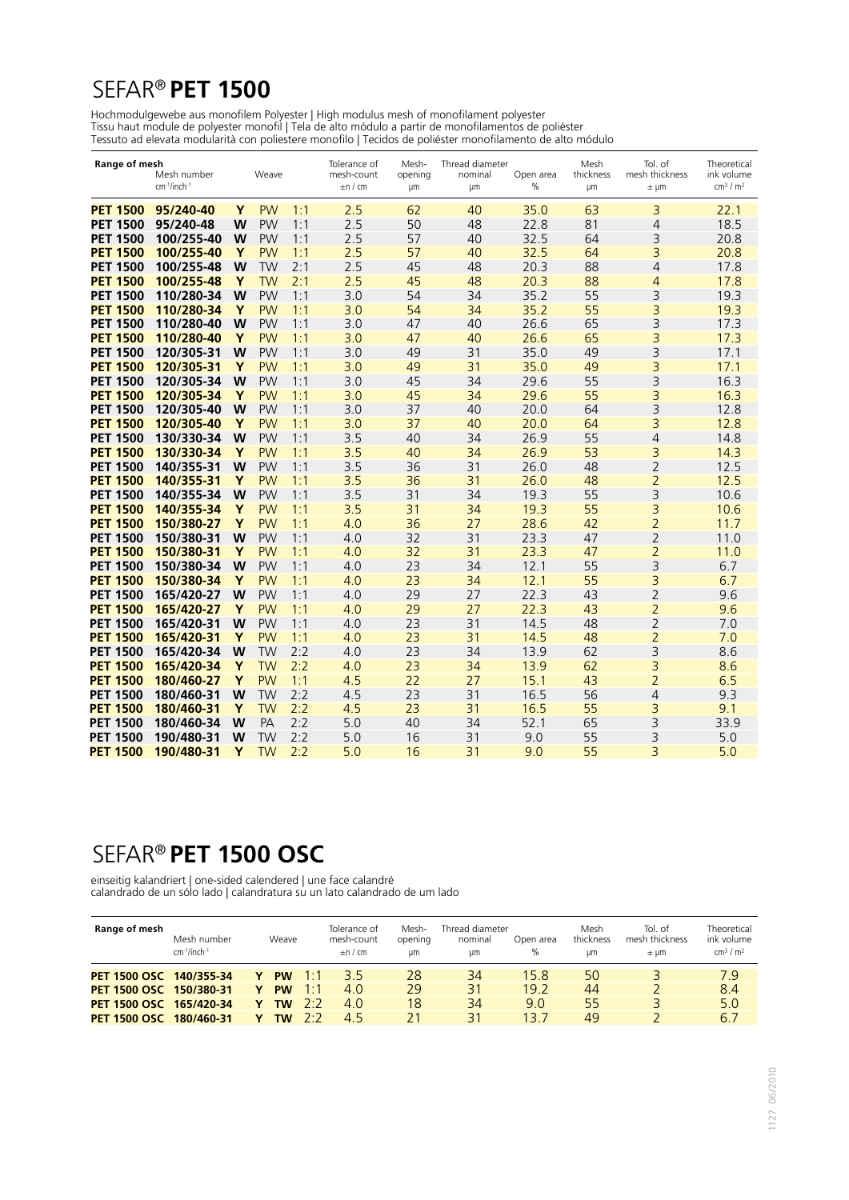# SEFAR® **PET 1500**

Hochmodulgewebe aus monofilem Polyester | High modulus mesh of monofilament polyester Tissu haut module de polyester monofil | Tela de alto módulo a partir de monofilamentos de poliéster Tessuto ad elevata modularità con poliestere monofilo | Tecidos de poliéster monofilamento de alto módulo

| Range of mesh   | Mesh number<br>cm <sup>-1</sup> /inch <sup>-1</sup> |   | Weave     |     | Tolerance of<br>mesh-count<br>$\pm$ n / cm | Mesh-<br>opening<br>μm | Thread diameter<br>nominal<br>μm | Open area<br>$\%$ | Mesh<br>thickness<br>μm | Tol. of<br>mesh thickness<br>$± \mu m$ | Theoretical<br>ink volume<br>cm <sup>3</sup> / m <sup>2</sup> |
|-----------------|-----------------------------------------------------|---|-----------|-----|--------------------------------------------|------------------------|----------------------------------|-------------------|-------------------------|----------------------------------------|---------------------------------------------------------------|
| <b>PET 1500</b> | 95/240-40                                           | Y | <b>PW</b> | 1:1 | 2.5                                        | 62                     | 40                               | 35.0              | 63                      | 3                                      | 22.1                                                          |
| <b>PET 1500</b> | 95/240-48                                           | W | <b>PW</b> | 1:1 | 2.5                                        | 50                     | 48                               | 22.8              | 81                      | 4                                      | 18.5                                                          |
| <b>PET 1500</b> | 100/255-40                                          | W | <b>PW</b> | 1:1 | 2.5                                        | 57                     | 40                               | 32.5              | 64                      | 3                                      | 20.8                                                          |
| <b>PET 1500</b> | 100/255-40                                          | Y | <b>PW</b> | 1:1 | 2.5                                        | 57                     | 40                               | 32.5              | 64                      | 3                                      | 20.8                                                          |
| <b>PET 1500</b> | 100/255-48                                          | W | <b>TW</b> | 2:1 | 2.5                                        | 45                     | 48                               | 20.3              | 88                      | 4                                      | 17.8                                                          |
| <b>PET 1500</b> | 100/255-48                                          | Y | <b>TW</b> | 2:1 | 2.5                                        | 45                     | 48                               | 20.3              | 88                      | $\overline{4}$                         | 17.8                                                          |
| <b>PET 1500</b> | 110/280-34                                          | W | <b>PW</b> | 1:1 | 3.0                                        | 54                     | 34                               | 35.2              | 55                      | 3                                      | 19.3                                                          |
| <b>PET 1500</b> | 110/280-34                                          | Y | <b>PW</b> | 1:1 | 3.0                                        | 54                     | 34                               | 35.2              | 55                      | 3                                      | 19.3                                                          |
| <b>PET 1500</b> | 110/280-40                                          | W | <b>PW</b> | 1:1 | 3.0                                        | 47                     | 40                               | 26.6              | 65                      | 3                                      | 17.3                                                          |
| <b>PET 1500</b> | 110/280-40                                          | Y | <b>PW</b> | 1:1 | 3.0                                        | 47                     | 40                               | 26.6              | 65                      | 3                                      | 17.3                                                          |
| <b>PET 1500</b> | 120/305-31                                          | W | <b>PW</b> | 1:1 | 3.0                                        | 49                     | 31                               | 35.0              | 49                      | 3                                      | 17.1                                                          |
| <b>PET 1500</b> | 120/305-31                                          | Y | <b>PW</b> | 1:1 | 3.0                                        | 49                     | 31                               | 35.0              | 49                      | 3                                      | 17.1                                                          |
| <b>PET 1500</b> | 120/305-34                                          | W | <b>PW</b> | 1:1 | 3.0                                        | 45                     | 34                               | 29.6              | 55                      | 3                                      | 16.3                                                          |
| <b>PET 1500</b> | 120/305-34                                          | Y | <b>PW</b> | 1:1 | 3.0                                        | 45                     | 34                               | 29.6              | 55                      | 3                                      | 16.3                                                          |
| <b>PET 1500</b> | 120/305-40                                          | W | <b>PW</b> | 1:1 | 3.0                                        | 37                     | 40                               | 20.0              | 64                      | $\overline{3}$                         | 12.8                                                          |
| <b>PET 1500</b> | 120/305-40                                          | Y | <b>PW</b> | 1:1 | 3.0                                        | 37                     | 40                               | 20.0              | 64                      | 3                                      | 12.8                                                          |
| <b>PET 1500</b> | 130/330-34                                          | W | <b>PW</b> | 1:1 | 3.5                                        | 40                     | 34                               | 26.9              | 55                      | $\overline{4}$                         | 14.8                                                          |
| <b>PET 1500</b> | 130/330-34                                          | Y | <b>PW</b> | 1:1 | 3.5                                        | 40                     | 34                               | 26.9              | 53                      | 3                                      | 14.3                                                          |
| <b>PET 1500</b> | 140/355-31                                          | W | <b>PW</b> | 1:1 | 3.5                                        | 36                     | 31                               | 26.0              | 48                      | $\overline{2}$                         | 12.5                                                          |
| <b>PET 1500</b> | 140/355-31                                          | Y | <b>PW</b> | 1:1 | 3.5                                        | 36                     | 31                               | 26.0              | 48                      | $\overline{2}$                         | 12.5                                                          |
| <b>PET 1500</b> | 140/355-34                                          | W | <b>PW</b> | 1:1 | 3.5                                        | 31                     | 34                               | 19.3              | 55                      | 3                                      | 10.6                                                          |
| <b>PET 1500</b> | 140/355-34                                          | Y | <b>PW</b> | 1:1 | 3.5                                        | 31                     | 34                               | 19.3              | 55                      | 3                                      | 10.6                                                          |
| <b>PET 1500</b> | 150/380-27                                          | Υ | <b>PW</b> | 1:1 | 4.0                                        | 36                     | 27                               | 28.6              | 42                      | $\overline{2}$                         | 11.7                                                          |
| <b>PET 1500</b> | 150/380-31                                          | W | <b>PW</b> | 1:1 | 4.0                                        | 32                     | 31                               | 23.3              | 47                      | 2                                      | 11.0                                                          |
| <b>PET 1500</b> | 150/380-31                                          | Y | <b>PW</b> | 1:1 | 4.0                                        | 32                     | 31                               | 23.3              | 47                      | $\overline{2}$                         | 11.0                                                          |
| <b>PET 1500</b> | 150/380-34                                          | W | <b>PW</b> | 1:1 | 4.0                                        | 23                     | 34                               | 12.1              | 55                      | 3                                      | 6.7                                                           |
| <b>PET 1500</b> | 150/380-34                                          | Y | <b>PW</b> | 1:1 | 4.0                                        | 23                     | 34                               | 12.1              | 55                      | 3                                      | 6.7                                                           |
| <b>PET 1500</b> | 165/420-27                                          | W | <b>PW</b> | 1:1 | 4.0                                        | 29                     | 27                               | 22.3              | 43                      | $\overline{2}$                         | 9.6                                                           |
| <b>PET 1500</b> | 165/420-27                                          | Y | <b>PW</b> | 1:1 | 4.0                                        | 29                     | 27                               | 22.3              | 43                      | $\overline{2}$                         | 9.6                                                           |
| <b>PET 1500</b> | 165/420-31                                          | W | <b>PW</b> | 1:1 | 4.0                                        | 23                     | 31                               | 14.5              | 48                      | $\overline{2}$                         | 7.0                                                           |
| <b>PET 1500</b> | 165/420-31                                          | Y | <b>PW</b> | 1:1 | 4.0                                        | 23                     | 31                               | 14.5              | 48                      | $\overline{2}$                         | 7.0                                                           |
| <b>PET 1500</b> | 165/420-34                                          | W | <b>TW</b> | 2:2 | 4.0                                        | 23                     | 34                               | 13.9              | 62                      | 3                                      | 8.6                                                           |
| <b>PET 1500</b> | 165/420-34                                          | Y | <b>TW</b> | 2:2 | 4.0                                        | 23                     | 34                               | 13.9              | 62                      | 3                                      | 8.6                                                           |
| <b>PET 1500</b> | 180/460-27                                          | Y | <b>PW</b> | 1:1 | 4.5                                        | 22                     | 27                               | 15.1              | 43                      | $\overline{2}$                         | 6.5                                                           |
| <b>PET 1500</b> | 180/460-31                                          | W | <b>TW</b> | 2:2 | 4.5                                        | 23                     | 31                               | 16.5              | 56                      | $\overline{4}$                         | 9.3                                                           |
| <b>PET 1500</b> | 180/460-31                                          | Y | <b>TW</b> | 2:2 | 4.5                                        | 23                     | 31                               | 16.5              | 55                      | 3                                      | 9.1                                                           |
| <b>PET 1500</b> | 180/460-34                                          | W | PA        | 2:2 | 5.0                                        | 40                     | 34                               | 52.1              | 65                      | 3                                      | 33.9                                                          |
| <b>PET 1500</b> | 190/480-31                                          | w | <b>TW</b> | 2:2 | 5.0                                        | 16                     | 31                               | 9.0               | 55                      | 3                                      | 5.0                                                           |
| <b>PET 1500</b> | 190/480-31                                          | Y | <b>TW</b> | 2:2 | 5.0                                        | 16                     | 31                               | 9.0               | 55                      | 3                                      | 5.0                                                           |

# SEFAR® **PET 1500 OSC**

einseitig kalandriert | one-sided calendered | une face calandré calandrado de un sólo lado | calandratura su un lato calandrado de um lado

| Range of mesh           | Mesh number<br>cm-1/inch-1 | Weave     |                         | Tolerance of<br>mesh-count<br>$\pm$ n / cm | Mesh-<br>opening<br>um | Thread diameter<br>nominal<br>um | Open area<br>$\%$ | Mesh<br>thickness<br>um | Tol. of<br>mesh thickness<br>$\pm$ um | Theoretical<br>ink volume<br>cm <sup>3</sup> / m <sup>2</sup> |
|-------------------------|----------------------------|-----------|-------------------------|--------------------------------------------|------------------------|----------------------------------|-------------------|-------------------------|---------------------------------------|---------------------------------------------------------------|
| PET 1500 OSC 140/355-34 |                            | <b>PW</b> | 1 · 1                   | 35                                         | 28                     | 34                               | 15.8              | 50                      |                                       | 7.9                                                           |
| PET 1500 OSC 150/380-31 |                            | <b>PW</b> | $1 \cdot 1$             | 4.0                                        | 29                     | 31                               | 19.2              | 44                      |                                       | 8.4                                                           |
| PET 1500 OSC 165/420-34 |                            | <b>TW</b> | $\mathcal{D}^{\bullet}$ | 4.0                                        | 18                     | 34                               | 9.0               | 55                      |                                       | 5.0                                                           |
| <b>PET 1500 OSC</b>     | 180/460-31                 | TW        | 75.                     | 45                                         | 21                     | 31                               | 13.7              | 49                      |                                       | 6.7                                                           |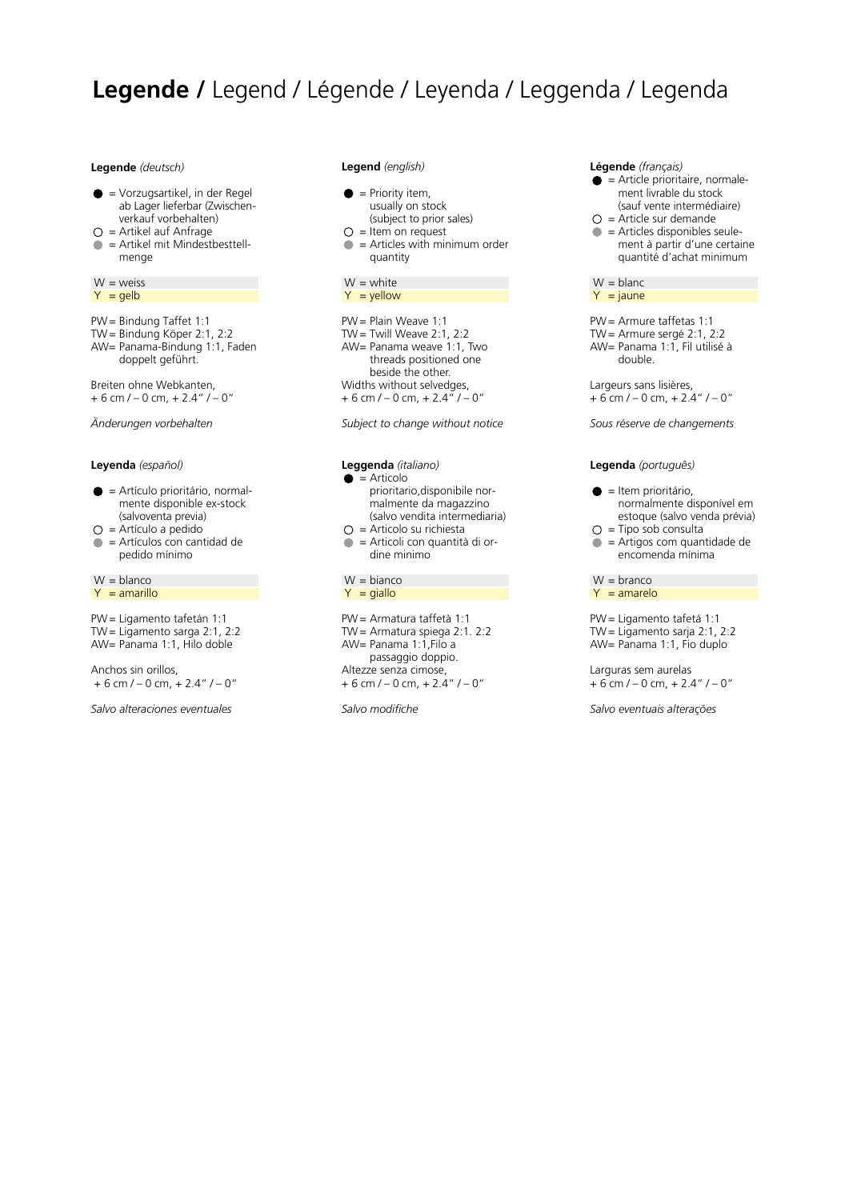# **Legende /** Legend / Légende / Leyenda / Leggenda / Legenda

#### **Legende** *(deutsch)*

- $\bullet$  = Vorzugsartikel, in der Regel ab Lager lieferbar (Zwischenverkauf vorbehalten)
- $O =$  Artikel auf Anfrage
- = Artikel mit Mindestbesttell menge

 $W = *w w w w w w w w w w w w w w w w w w w w w w w w w w w w w w w w w w w w*$  $Y =$  gelb

PW= Bindung Taffet 1:1 TW= Bindung Köper 2:1, 2:2 AW= Panama-Bindung 1:1, Faden doppelt geführt.

Breiten ohne Webkanten,  $+ 6$  cm  $/ - 0$  cm,  $+ 2.4$ "  $/ - 0$ "

*Änderungen vorbehalten*

### **Leyenda** *(español)*

- $\bullet$  = Artículo prioritário, normalmente disponible ex-stock (salvoventa previa)
- $\bigcirc$  = Artículo a pedido
- = Artículos con cantidad de pedido mínimo

 $W =$  blanco  $Y = amarillo$ 

PW= Ligamento tafetán 1:1 TW= Ligamento sarga 2:1, 2:2 AW= Panama 1:1, Hilo doble

Anchos sin orillos,  $+ 6$  cm  $/ - 0$  cm,  $+ 2.4$ "  $/ - 0$ "

*Salvo alteraciones eventuales*

#### **Legend** *(english)*

- $\bullet$  = Priority item,
- usually on stock
- (subject to prior sales)
- $O =$  Item on request = Articles with minimum order quantity
- $W =$  white

 $Y =$  yellow

PW= Plain Weave 1:1 TW= Twill Weave 2:1, 2:2 AW= Panama weave 1:1, Two threads positioned one beside the other. Widths without selvedges,  $+ 6$  cm  $/ - 0$  cm,  $+ 2.4$ <sup>"</sup> $/ - 0$ "

*Subject to change without notice*

## **Leggenda** *(italiano)*

- $\bullet$  = Articolo prioritario,disponibile normalmente da magazzino (salvo vendita intermediaria)
- $\bigcirc$  = Articolo su richiesta
- $\bullet$  = Articoli con quantità di ordine minimo

### $W = \text{bianco}$  $Y = \text{giallo}$

PW= Armatura taffetà 1:1 TW= Armatura spiega 2:1. 2:2 AW= Panama 1:1,Filo a passaggio doppio. Altezze senza cimose,  $+ 6$  cm  $/ - 0$  cm,  $+ 2.4$ "  $/ - 0$ "

*Salvo modifiche*

### **Légende** *(français)*

- $\bullet$  = Article prioritaire, normalement livrable du stock (sauf vente intermédiaire)
- $O =$  Article sur demande  $\bullet$  = Articles disponibles seulement à partir d'une certaine quantité d'achat minimum
- $W = blanc$  $Y = jaune$

PW= Armure taffetas 1:1 TW= Armure sergé 2:1, 2:2 AW= Panama 1:1, Fil utilisé à double.

Largeurs sans lisières,  $+ 6$  cm  $/ - 0$  cm,  $+ 2.4$ "  $/ - 0$ "

*Sous réserve de changements*

### **Legenda** *(português)*

- $\bullet$  = Item prioritário, normalmente disponível em estoque (salvo venda prévia)
- $\bigcirc$  = Tipo sob consulta
- $\bullet$  = Artigos com quantidade de encomenda mínima

 $W =$ branco  $Y = amarelo$ 

PW= Ligamento tafetá 1:1 TW= Ligamento sarja 2:1, 2:2 AW= Panama 1:1, Fio duplo

Larguras sem aurelas  $+ 6$  cm  $/ - 0$  cm,  $+ 2.4$ "  $/ - 0$ "

*Salvo eventuais alterações*